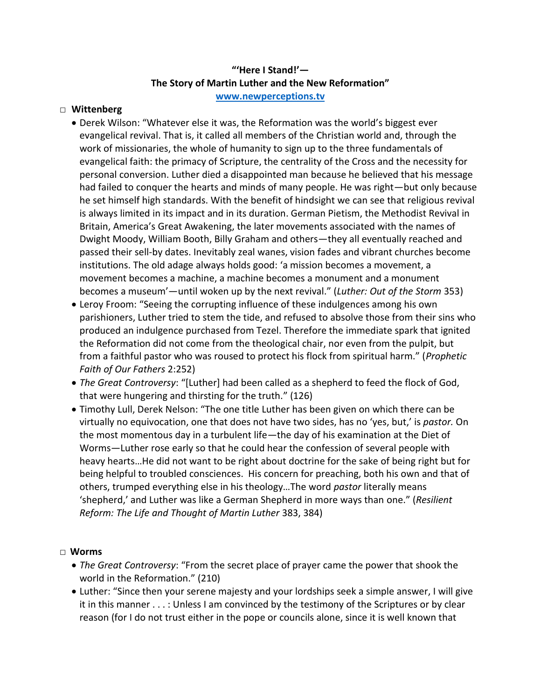## **"'Here I Stand!'— The Story of Martin Luther and the New Reformation" [www.newperceptions.tv](http://www.newperceptions.tv/)**

#### □ **Wittenberg**

- Derek Wilson: "Whatever else it was, the Reformation was the world's biggest ever evangelical revival. That is, it called all members of the Christian world and, through the work of missionaries, the whole of humanity to sign up to the three fundamentals of evangelical faith: the primacy of Scripture, the centrality of the Cross and the necessity for personal conversion. Luther died a disappointed man because he believed that his message had failed to conquer the hearts and minds of many people. He was right—but only because he set himself high standards. With the benefit of hindsight we can see that religious revival is always limited in its impact and in its duration. German Pietism, the Methodist Revival in Britain, America's Great Awakening, the later movements associated with the names of Dwight Moody, William Booth, Billy Graham and others—they all eventually reached and passed their sell-by dates. Inevitably zeal wanes, vision fades and vibrant churches become institutions. The old adage always holds good: 'a mission becomes a movement, a movement becomes a machine, a machine becomes a monument and a monument becomes a museum'—until woken up by the next revival." (*Luther: Out of the Storm* 353)
- Leroy Froom: "Seeing the corrupting influence of these indulgences among his own parishioners, Luther tried to stem the tide, and refused to absolve those from their sins who produced an indulgence purchased from Tezel. Therefore the immediate spark that ignited the Reformation did not come from the theological chair, nor even from the pulpit, but from a faithful pastor who was roused to protect his flock from spiritual harm." (*Prophetic Faith of Our Fathers* 2:252)
- *The Great Controversy*: "[Luther] had been called as a shepherd to feed the flock of God, that were hungering and thirsting for the truth." (126)
- Timothy Lull, Derek Nelson: "The one title Luther has been given on which there can be virtually no equivocation, one that does not have two sides, has no 'yes, but,' is *pastor.* On the most momentous day in a turbulent life—the day of his examination at the Diet of Worms—Luther rose early so that he could hear the confession of several people with heavy hearts…He did not want to be right about doctrine for the sake of being right but for being helpful to troubled consciences. His concern for preaching, both his own and that of others, trumped everything else in his theology…The word *pastor* literally means 'shepherd,' and Luther was like a German Shepherd in more ways than one." (*Resilient Reform: The Life and Thought of Martin Luther* 383, 384)

#### □ **Worms**

- *The Great Controversy*: "From the secret place of prayer came the power that shook the world in the Reformation." (210)
- Luther: "Since then your serene majesty and your lordships seek a simple answer, I will give it in this manner . . . : Unless I am convinced by the testimony of the Scriptures or by clear reason (for I do not trust either in the pope or councils alone, since it is well known that